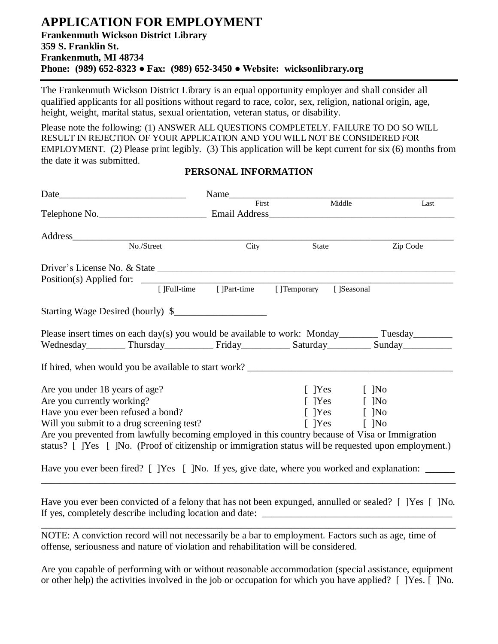# **APPLICATION FOR EMPLOYMENT Frankenmuth Wickson District Library 359 S. Franklin St. Frankenmuth, MI 48734 Phone: (989) 652-8323 ● Fax: (989) 652-3450 ● Website: wicksonlibrary.org**

The Frankenmuth Wickson District Library is an equal opportunity employer and shall consider all qualified applicants for all positions without regard to race, color, sex, religion, national origin, age, height, weight, marital status, sexual orientation, veteran status, or disability.

Please note the following: (1) ANSWER ALL QUESTIONS COMPLETELY. FAILURE TO DO SO WILL RESULT IN REJECTION OF YOUR APPLICATION AND YOU WILL NOT BE CONSIDERED FOR EMPLOYMENT. (2) Please print legibly. (3) This application will be kept current for six (6) months from the date it was submitted.

|                                                              |                                                                                                  | First                                  | Middle | Last                                                                                                  |
|--------------------------------------------------------------|--------------------------------------------------------------------------------------------------|----------------------------------------|--------|-------------------------------------------------------------------------------------------------------|
|                                                              |                                                                                                  |                                        |        |                                                                                                       |
|                                                              |                                                                                                  |                                        |        |                                                                                                       |
|                                                              |                                                                                                  | City                                   | State  | Zip Code                                                                                              |
|                                                              |                                                                                                  |                                        |        |                                                                                                       |
|                                                              |                                                                                                  |                                        |        |                                                                                                       |
|                                                              |                                                                                                  | [] Full-time [] Part-time [] Temporary |        | []Seasonal                                                                                            |
|                                                              | Starting Wage Desired (hourly) \$                                                                |                                        |        |                                                                                                       |
|                                                              |                                                                                                  |                                        |        | Please insert times on each day(s) you would be available to work: Monday_________ Tuesday_________   |
|                                                              |                                                                                                  |                                        |        |                                                                                                       |
|                                                              |                                                                                                  |                                        |        | Wednesday___________ Thursday______________ Friday____________ Saturday__________ Sunday___________   |
|                                                              |                                                                                                  |                                        |        |                                                                                                       |
|                                                              |                                                                                                  |                                        |        |                                                                                                       |
|                                                              |                                                                                                  |                                        |        | $[$ ]Yes $[$ ]No                                                                                      |
|                                                              |                                                                                                  |                                        |        | [ ]Yes [ ]No                                                                                          |
|                                                              | Have you ever been refused a bond?                                                               |                                        |        | [ ]Yes [ ]No                                                                                          |
|                                                              | Will you submit to a drug screening test?                                                        |                                        |        | $\lceil$  Yes $\lceil$  No                                                                            |
| Are you under 18 years of age?<br>Are you currently working? | Are you prevented from lawfully becoming employed in this country because of Visa or Immigration |                                        |        | status? [ ]Yes [ ]No. (Proof of citizenship or immigration status will be requested upon employment.) |

#### **PERSONAL INFORMATION**

Have you ever been convicted of a felony that has not been expunged, annulled or sealed? [ ]Yes [ ]No. If yes, completely describe including location and date: \_\_\_\_\_\_\_\_\_\_\_\_\_\_\_\_\_\_\_\_\_\_\_\_\_\_\_\_\_\_\_\_\_\_\_\_\_\_\_ \_\_\_\_\_\_\_\_\_\_\_\_\_\_\_\_\_\_\_\_\_\_\_\_\_\_\_\_\_\_\_\_\_\_\_\_\_\_\_\_\_\_\_\_\_\_\_\_\_\_\_\_\_\_\_\_\_\_\_\_\_\_\_\_\_\_\_\_\_\_\_\_\_\_\_\_\_\_\_\_\_\_\_\_\_

NOTE: A conviction record will not necessarily be a bar to employment. Factors such as age, time of offense, seriousness and nature of violation and rehabilitation will be considered.

Are you capable of performing with or without reasonable accommodation (special assistance, equipment or other help) the activities involved in the job or occupation for which you have applied? [ ]Yes. [ ]No.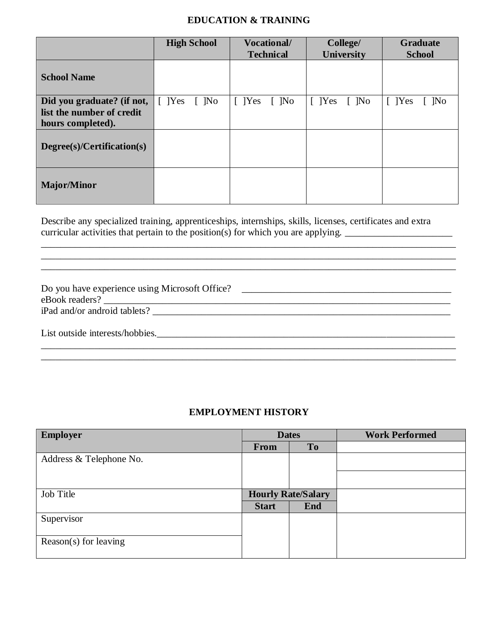### **EDUCATION & TRAINING**

|                                                                              | <b>High School</b>                | <b>Vocational/</b><br><b>Technical</b> | College/<br><b>University</b> | <b>Graduate</b><br><b>School</b>  |
|------------------------------------------------------------------------------|-----------------------------------|----------------------------------------|-------------------------------|-----------------------------------|
| <b>School Name</b>                                                           |                                   |                                        |                               |                                   |
| Did you graduate? (if not,<br>list the number of credit<br>hours completed). | $[$ [Yes]<br>$\lceil$ $\rceil$ No | $\lceil$  Yes<br>$\lceil$ $\rceil$ No  | $[$ [Yes]<br>$\lceil$ ]No     | $[$ [Yes]<br>$\lceil$ $\rceil$ No |
| Degree(s)/Certification(s)                                                   |                                   |                                        |                               |                                   |
| <b>Major/Minor</b>                                                           |                                   |                                        |                               |                                   |

Describe any specialized training, apprenticeships, internships, skills, licenses, certificates and extra curricular activities that pertain to the position(s) for which you are applying.

| Do you have experience using Microsoft Office? |  |
|------------------------------------------------|--|
| eBook readers?                                 |  |
| iPad and/or android tablets?                   |  |
|                                                |  |
| List outside interests/hobbies.                |  |

\_\_\_\_\_\_\_\_\_\_\_\_\_\_\_\_\_\_\_\_\_\_\_\_\_\_\_\_\_\_\_\_\_\_\_\_\_\_\_\_\_\_\_\_\_\_\_\_\_\_\_\_\_\_\_\_\_\_\_\_\_\_\_\_\_\_\_\_\_\_\_\_\_\_\_\_\_\_\_\_\_\_\_\_\_

\_\_\_\_\_\_\_\_\_\_\_\_\_\_\_\_\_\_\_\_\_\_\_\_\_\_\_\_\_\_\_\_\_\_\_\_\_\_\_\_\_\_\_\_\_\_\_\_\_\_\_\_\_\_\_\_\_\_\_\_\_\_\_\_\_\_\_\_\_\_\_\_\_\_\_\_\_\_\_\_\_\_\_\_\_ \_\_\_\_\_\_\_\_\_\_\_\_\_\_\_\_\_\_\_\_\_\_\_\_\_\_\_\_\_\_\_\_\_\_\_\_\_\_\_\_\_\_\_\_\_\_\_\_\_\_\_\_\_\_\_\_\_\_\_\_\_\_\_\_\_\_\_\_\_\_\_\_\_\_\_\_\_\_\_\_\_\_\_\_\_

\_\_\_\_\_\_\_\_\_\_\_\_\_\_\_\_\_\_\_\_\_\_\_\_\_\_\_\_\_\_\_\_\_\_\_\_\_\_\_\_\_\_\_\_\_\_\_\_\_\_\_\_\_\_\_\_\_\_\_\_\_\_\_\_\_\_\_\_\_\_\_\_\_\_\_\_\_\_\_\_\_\_\_\_\_

#### **EMPLOYMENT HISTORY**

| <b>Employer</b>         | <b>Dates</b>              |            | <b>Work Performed</b> |
|-------------------------|---------------------------|------------|-----------------------|
|                         | From                      | <b>To</b>  |                       |
| Address & Telephone No. |                           |            |                       |
|                         |                           |            |                       |
|                         |                           |            |                       |
| Job Title               | <b>Hourly Rate/Salary</b> |            |                       |
|                         | <b>Start</b>              | <b>End</b> |                       |
| Supervisor              |                           |            |                       |
|                         |                           |            |                       |
| $Reason(s)$ for leaving |                           |            |                       |
|                         |                           |            |                       |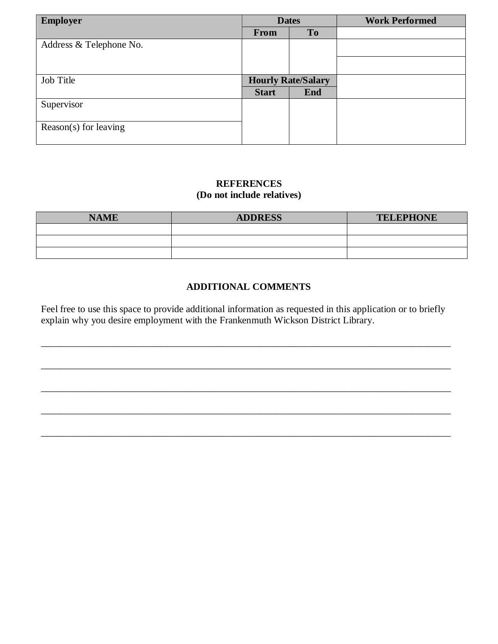| <b>Employer</b>         | <b>Dates</b>              |            | <b>Work Performed</b> |
|-------------------------|---------------------------|------------|-----------------------|
|                         | From                      | To         |                       |
| Address & Telephone No. |                           |            |                       |
|                         |                           |            |                       |
| Job Title               | <b>Hourly Rate/Salary</b> |            |                       |
|                         | <b>Start</b>              | <b>End</b> |                       |
| Supervisor              |                           |            |                       |
| Reason(s) for leaving   |                           |            |                       |

### **REFERENCES (Do not include relatives)**

| <b>NAME</b> | <b>ADDRESS</b> | <b>TELEPHONE</b> |
|-------------|----------------|------------------|
|             |                |                  |
|             |                |                  |
|             |                |                  |

# **ADDITIONAL COMMENTS**

Feel free to use this space to provide additional information as requested in this application or to briefly explain why you desire employment with the Frankenmuth Wickson District Library.

\_\_\_\_\_\_\_\_\_\_\_\_\_\_\_\_\_\_\_\_\_\_\_\_\_\_\_\_\_\_\_\_\_\_\_\_\_\_\_\_\_\_\_\_\_\_\_\_\_\_\_\_\_\_\_\_\_\_\_\_\_\_\_\_\_\_\_\_\_\_\_\_\_\_\_\_\_\_\_\_\_\_\_\_

\_\_\_\_\_\_\_\_\_\_\_\_\_\_\_\_\_\_\_\_\_\_\_\_\_\_\_\_\_\_\_\_\_\_\_\_\_\_\_\_\_\_\_\_\_\_\_\_\_\_\_\_\_\_\_\_\_\_\_\_\_\_\_\_\_\_\_\_\_\_\_\_\_\_\_\_\_\_\_\_\_\_\_\_

\_\_\_\_\_\_\_\_\_\_\_\_\_\_\_\_\_\_\_\_\_\_\_\_\_\_\_\_\_\_\_\_\_\_\_\_\_\_\_\_\_\_\_\_\_\_\_\_\_\_\_\_\_\_\_\_\_\_\_\_\_\_\_\_\_\_\_\_\_\_\_\_\_\_\_\_\_\_\_\_\_\_\_\_

\_\_\_\_\_\_\_\_\_\_\_\_\_\_\_\_\_\_\_\_\_\_\_\_\_\_\_\_\_\_\_\_\_\_\_\_\_\_\_\_\_\_\_\_\_\_\_\_\_\_\_\_\_\_\_\_\_\_\_\_\_\_\_\_\_\_\_\_\_\_\_\_\_\_\_\_\_\_\_\_\_\_\_\_

\_\_\_\_\_\_\_\_\_\_\_\_\_\_\_\_\_\_\_\_\_\_\_\_\_\_\_\_\_\_\_\_\_\_\_\_\_\_\_\_\_\_\_\_\_\_\_\_\_\_\_\_\_\_\_\_\_\_\_\_\_\_\_\_\_\_\_\_\_\_\_\_\_\_\_\_\_\_\_\_\_\_\_\_